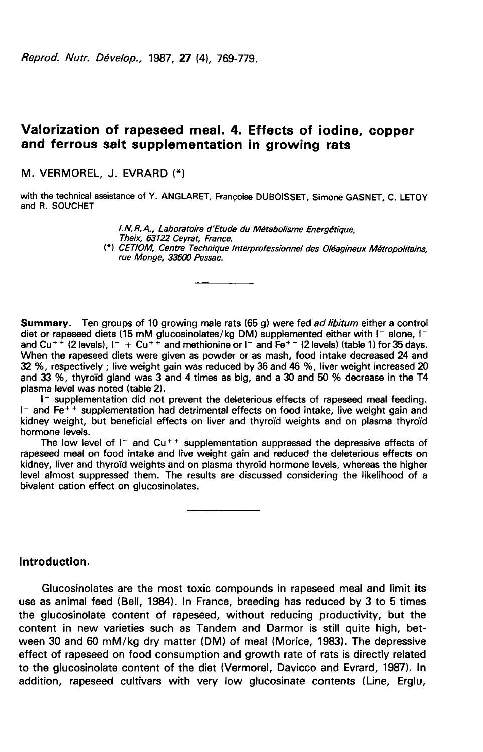Reprod. Nutr. Dévelop., 1987, 27 (4), 769-779.

# Valorization of rapeseed meal. 4. Effects of iodine, copper and ferrous salt supplementation in growing rats

M. VERMOREL, J. EVRARD

with the technical assistance of Y. ANGLARET, Françoise DUBOISSET, Simone GASNET, C. LETOY and R. SOUCHET

> 1. N. R. A., Laboratoire d'Etude du Métabolisme Energétique,<br>Theix. 63122 Cevrat. France. (\*) CETIOM, Centre Technique Interprofessionnel des Oléagineux Métropolitains, rue Monge, 336010 Pessac.

Summary. Ten groups of 10 growing male rats (65 g) were fed *ad libitum* either a control diet or rapeseed diets (15 mM glucosinolates/kg DM) supplemented either with I- alone, Iand Cu<sup>++</sup> (2 levels),  $I^- + Cu^{++}$  and methionine or  $I^-$  and  $Fe^{++}$  (2 levels) (table 1) for 35 days. When the rapeseed diets were given as powder or as mash, food intake decreased 24 and 32 %, respectively ; live weight gain was reduced by 36 and 46 %, liver weight increased 20 and 33  $\%$ , thyroid gland was 3 and 4 times as big, and a 30 and 50  $\%$  decrease in the T4 plasma level was noted (table 2).

I- supplementation did not prevent the deleterious effects of rapeseed meal feeding.  $I^-$  and  $Fe^{++}$  supplementation had detrimental effects on food intake, live weight gain and kidney weight, but beneficial effects on liver and thyroid weights and on plasma thyroid hormone levels.

The low level of  $I^-$  and  $Cu^{++}$  supplementation suppressed the depressive effects of rapeseed meal on food intake and live weight gain and reduced the deleterious effects on kidney, liver and thyroïd weights and on plasma thyroïd hormone levels, whereas the higher level almost suppressed them. The results are discussed considering the likelihood of a bivalent cation effect on glucosinolates.

### Introduction.

Glucosinolates are the most toxic compounds in rapeseed meal and limit its use as animal feed (Bell, 1984). In France, breeding has reduced by 3 to 5 times the glucosinolate content of rapeseed, without reducing productivity, but the content in new varieties such as Tandem and Darmor is still quite high, between 30 and 60 mM/kg dry matter (DM) of meal (Morice, 1983). The depressive effect of rapeseed on food consumption and growth rate of rats is directly related to the glucosinolate content of the diet (Vermorel, Davicco and Evrard, 1987). In addition, rapeseed cultivars with very low glucosinate contents (Line, Erglu,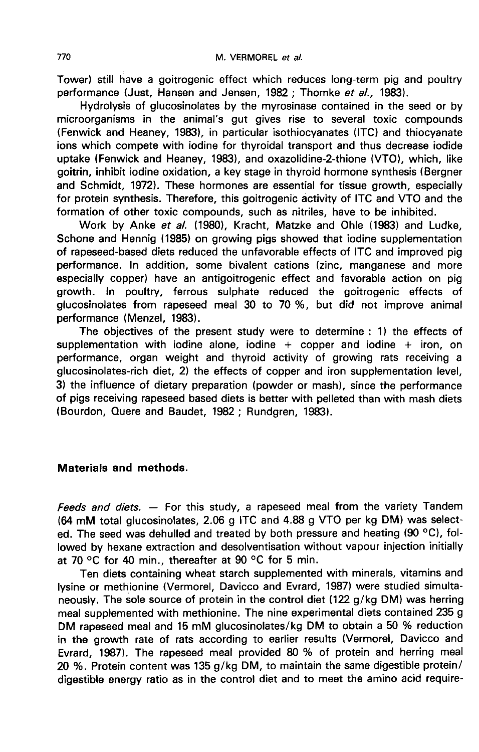Tower) still have a goitrogenic effect which reduces long-term pig and poultry performance (Just, Hansen and Jensen, 1982; Thomke et al., 1983).

Hydrolysis of glucosinolates by the myrosinase contained in the seed or by microorganisms in the animal's gut gives rise to several toxic compounds (Fenwick and Heaney, 1983), in particular isothiocyanates (ITC) and thiocyanate ions which compete with iodine for thyroidal transport and thus decrease iodide uptake (Fenwick and Heaney, 1983), and oxazolidine-2-thione (VTO), which, like goitrin, inhibit iodine oxidation, a key stage in thyroid hormone synthesis (Bergner and Schmidt, 1972). These hormones are essential for tissue growth, especially for protein synthesis. Therefore, this goitrogenic activity of ITC and VTO and the formation of other toxic compounds, such as nitriles, have to be inhibited.

Work by Anke et al. (1980), Kracht, Matzke and Ohle (1983) and Ludke, Schone and Hennig (1985) on growing pigs showed that iodine supplementation of rapeseed-based diets reduced the unfavorable effects of ITC and improved pig performance. In addition, some bivalent cations (zinc, manganese and more especially copper) have an antigoitrogenic effect and favorable action on pig growth. In poultry, ferrous sulphate reduced the goitrogenic effects of glucosinolates from rapeseed meal 30 to 70 %, but did not improve animal performance (Menzel, 1983).

The objectives of the present study were to determine : 1) the effects of supplementation with iodine alone, iodine  $+$  copper and iodine  $+$  iron, on performance, organ weight and thyroid activity of growing rats receiving a glucosinolates-rich diet, 2) the effects of copper and iron supplementation level, 3) the influence of dietary preparation (powder or mash), since the performance of pigs receiving rapeseed based diets is better with pelleted than with mash diets (Bourdon, Quere and Baudet, 1982 ; Rundgren, 1983).

# Materials and methods.

Feeds and diets.  $-$  For this study, a rapeseed meal from the variety Tandem (64 mM total glucosinolates, 2.06 g ITC and 4.88 g VTO per kg DM) was selected. The seed was dehulled and treated by both pressure and heating  $(90 °C)$ , followed by hexane extraction and desolventisation without vapour injection initially at 70 °C for 40 min., thereafter at 90 °C for 5 min.

Ten diets containing wheat starch supplemented with minerals, vitamins and lysine or methionine (Vermorel, Davicco and Evrard, 1987) were studied simultaneously. The sole source of protein in the control diet (122 g/kg DM) was herring meal supplemented with methionine. The nine experimental diets contained 235 g DM rapeseed meal and 15 mM glucosinolates/kg DM to obtain a 50 % reduction in the growth rate of rats according to earlier results (Vermorel, Davicco and Evrard, 1987). The rapeseed meal provided 80 % of protein and herring meal 20 %. Protein content was 135 g/kg DM, to maintain the same digestible protein/ digestible energy ratio as in the control diet and to meet the amino acid require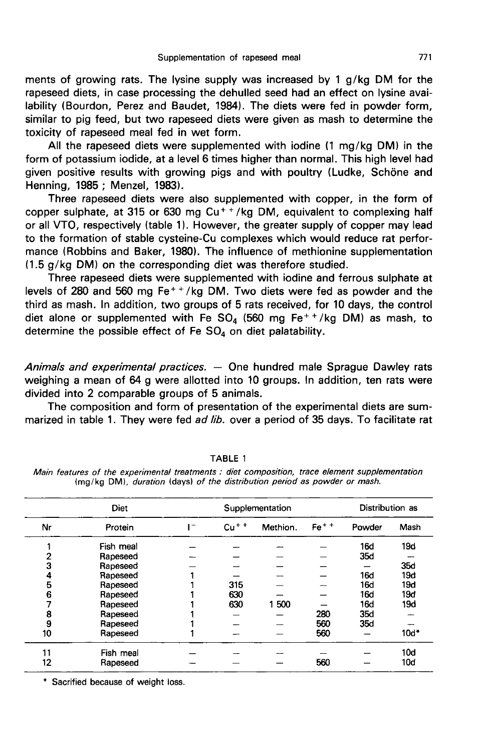ments of growing rats. The lysine supply was increased by 1 g/kg DM for the rapeseed diets, in case processing the dehulled seed had an effect on lysine availability (Bourdon, Perez and Baudet, 1984). The diets were fed in powder form, similar to pig feed, but two rapeseed diets were given as mash to determine the toxicity of rapeseed meal fed in wet form.

All the rapeseed diets were supplemented with iodine (1 mg/kg DM) in the form of potassium iodide, at a level 6 times higher than normal. This high level had given positive results with growing pigs and with poultry (Ludke, Schöne and Henning, 1985 ; Menzel, 1983).

Three rapeseed diets were also supplemented with copper, in the form of copper sulphate, at 315 or 630 mg  $Cu^{++}/kg$  DM, equivalent to complexing half or all VTO, respectively (table 1). However, the greater supply of copper or all VTO, respectively (table 1). However, the greater supply of copper may lead to the formation of stable cysteine-Cu complexes which would reduce rat perfor mance (Robbins and Baker, 1980). The influence of methionine supplementation 11.5 g/kg DM) on the corresponding diet was therefore studied.

Three rapeseed diets were supplemented with iodine and ferrous sulphate at levels of 280 and 560 mg Fe<sup>+ +</sup>/kg DM. Two diets were fed as powder and the third as mash. In addition, two groups of 5 rats received, for 10 days, the control third as mash. In addition, two groups of 5 rats received, for 10 days, the control<br>diet alone or supplemented with Fe SO<sub>4</sub> (560 mg Fe<sup>++</sup>/kg DM) as mash, to diet alone or supplemented with Fe SO<sub>4</sub> (560 mg Fe<sup>++</sup>/<br>determine the possible effect of Fe SO<sub>4</sub> on diet palatability.

Animals and experimental practices. — One hundred male Sprague Dawley rats weighing a mean of 64 g were allotted into 10 groups. In addition, ten rats were divided into 2 comparable groups of 5 animals.

The composition and form of presentation of the experimental diets are summarized in table 1. They were fed ad lib. over a period of 35 days. To facilitate rat

|    | <b>Diet</b> |   | Supplementation |          |        | Distribution as |        |
|----|-------------|---|-----------------|----------|--------|-----------------|--------|
| Nr | Protein     | - | $Cu + +$        | Methion. | $Fe++$ | Powder          | Mash   |
|    | Fish meal   |   |                 |          |        | 16d             | 19d    |
| 2  | Rapeseed    |   |                 |          |        | 35d             |        |
| 3  | Rapeseed    |   |                 |          |        |                 | 35d    |
| 4  | Rapeseed    |   |                 |          |        | <b>16d</b>      | 19d    |
| 5  | Rapeseed    |   | 315             |          |        | <b>16d</b>      | 19d    |
| 6  | Rapeseed    |   | 630             |          |        | <b>16d</b>      | 19d    |
|    | Rapeseed    |   | 630             | 1500     |        | <b>16d</b>      | 19d    |
| 8  | Rapeseed    |   |                 |          | 280    | 35d             |        |
| 9  | Rapeseed    |   |                 |          | 560    | 35d             |        |
| 10 | Rapeseed    |   |                 |          | 560    |                 | $10d*$ |
| 11 | Fish meal   |   |                 |          |        |                 | 10d    |
| 12 | Rapeseed    |   |                 |          | 560    |                 | 10d    |

TABLE 1

| Main features of the experimental treatments : diet composition, trace element supplementation |  |  |
|------------------------------------------------------------------------------------------------|--|--|
| (mg/kg DM), duration (days) of the distribution period as powder or mash.                      |  |  |

\* Sacrified because of weight loss.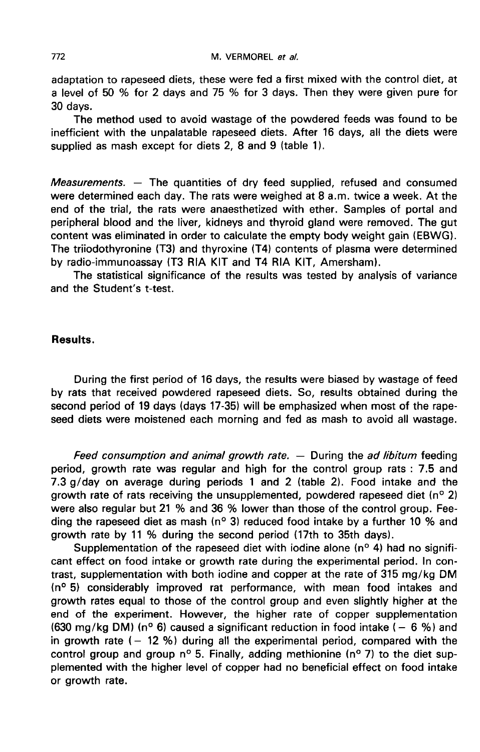adaptation to rapeseed diets, these were fed a first mixed with the control diet, at a level of 50 % for 2 days and 75 % for 3 days. Then they were given pure for 30 days.

The method used to avoid wastage of the powdered feeds was found to be inefficient with the unpalatable rapeseed diets. After 16 days, all the diets were supplied as mash except for diets 2, 8 and 9 (table 1).

Measurements. - The quantities of dry feed supplied, refused and consumed were determined each day. The rats were weighed at 8 a.m. twice a week. At the end of the trial, the rats were anaesthetized with ether. Samples of portal and peripheral blood and the liver, kidneys and thyroid gland were removed. The gut content was eliminated in order to calculate the empty body weight gain (EBWG). The triiodothyronine (T3) and thyroxine (T4) contents of plasma were determined by radio-immunoassay (T3 RIA KIT and T4 RIA KIT, Amersham).

The statistical significance of the results was tested by analysis of variance and the Student's t-test.

### Results.

During the first period of 16 days, the results were biased by wastage of feed by rats that received powdered rapeseed diets. So, results obtained during the second period of 19 days (days 17-35) will be emphasized when most of the rapeseed diets were moistened each morning and fed as mash to avoid all wastage.

Feed consumption and animal growth rate. - During the ad libitum feeding period, growth rate was regular and high for the control group rats : 7.5 and 7.3 g/day on average during periods 1 and 2 (table 2). Food intake and the growth rate of rats receiving the unsupplemented, powdered rapeseed diet ( $n^{\circ}$  2) were also regular but 21 % and 36 % lower than those of the control group. Feeding the rapeseed diet as mash ( $n^{\circ}$  3) reduced food intake by a further 10 % and growth rate by 11 % during the second period (17th to 35th days).

Supplementation of the rapeseed diet with iodine alone (nº 4) had no significant effect on food intake or growth rate during the experimental period. In contrast, supplementation with both iodine and copper at the rate of 315 mg/kg DM (nº 5) considerably improved rat performance, with mean food intakes and growth rates equal to those of the control group and even slightly higher at the end of the experiment. However, the higher rate of copper supplementation (630 mg/kg DM) (nº 6) caused a significant reduction in food intake ( $-6$  %) and in growth rate  $(-12\%)$  during all the experimental period, compared with the control group and group nº 5. Finally, adding methionine (nº 7) to the diet supplemented with the higher level of copper had no beneficial effect on food intake or growth rate.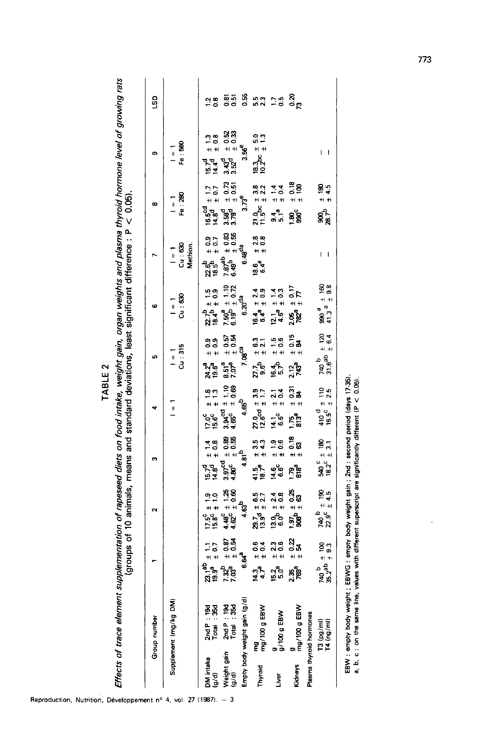| п. |  |
|----|--|
|    |  |
|    |  |
| Ļ  |  |

\$  $\cdot$  $\ddot{\phantom{0}}$ لى<br>مار ł Ì سنند ŕ ň Ŕ ĭ Efforte

|                         | Group number                            |                                                             |                                               |                                                           |                                                                                       | ı.                                                                   | c                                                                    |                                              | œ                                                                    | $\sigma$                                          | LSD            |
|-------------------------|-----------------------------------------|-------------------------------------------------------------|-----------------------------------------------|-----------------------------------------------------------|---------------------------------------------------------------------------------------|----------------------------------------------------------------------|----------------------------------------------------------------------|----------------------------------------------|----------------------------------------------------------------------|---------------------------------------------------|----------------|
|                         | Supplement (mg/kg DM)                   |                                                             |                                               |                                                           | И                                                                                     | $c_{u}$ : 315<br>$\overline{1}$                                      | $c_u$ :630<br>$\frac{1}{2}$                                          | ය : සෙ<br>Methion<br>$\frac{1}{1}$           | Fe:280<br>$\overline{a}$                                             | Fe : 560<br>$\frac{1}{1}$                         |                |
| DM intake<br>(g/g)      | $2ndP: 19d$<br>Total : 35d              | $1.1$<br>$\pm 0.7$<br>ಕ್ಕ್ರಿಂ<br>ನಶ                         | $\frac{17.5^{c}}{15.8^{c}} \pm 1.9$           | $15.7d \pm 1.4$<br>14.8 <sup>d</sup> $\pm$ 0.8            | $\frac{18}{11}$<br>្ភូ <sub>មិ</sub><br>ក្នុង                                         | 9<br>0 0 0<br>+ +<br>24.2 <sup>8</sup><br>19.6°                      | $22.7^b \pm 1.5$<br>18.4 <sup>b</sup> $\pm$ 0.9                      | $+ 0.9$<br>$+ 0.7$<br>ಕ್ಕಿಕ್ಕಿ<br>ನತ         | $2 + 17$<br>$+ 17$<br>$+ 17$<br>ច្ចុច<br>មន្ទ                        | $1.3$<br>$1.3$<br>$1.3$<br>동 역<br>19년             | 28             |
| Weight gain<br>(g/d)    | 2nd P : 19d<br>Total : 35d              | $40.57$<br>$40.5$<br>7.32 <sup>8</sup><br>7.03 <sup>8</sup> | $4.48^{c} \pm 1.25$<br>$4.62^{c} \pm 0.60$    | $4.81^{b}$<br>$4.81^{b}$<br>್ತಾ<br>4.80°<br>4.80°         | $\begin{array}{c} \pm 1.10 \\ \pm 0.69 \end{array}$<br>್ತಾ <sub>ಚ್ಚರ</sub> ್<br>4.65° | $\frac{1}{4}$ 3.0<br>5.0 ±<br>8.51 <sup>8</sup><br>7.07 <sup>8</sup> | $\begin{array}{c} 7.50^8 \pm 1.10 \\ 6.19^5 \pm 0.72 \end{array}$    | $10.33$<br>$10.33$<br>$7.87^{ab}$            | $\begin{array}{c} 18.73 \\ \pm 0.51 \end{array}$<br>್ಯಾಕ್ಟ್<br>3.78ರ | $10.33$<br>$1 + 0.33$<br>ಇದ್ದ<br>ನನ               | តូតូ<br>១១     |
|                         | Empty body weight gain (g/d)            | 6.64 <sup>ª</sup>                                           | 4.63                                          |                                                           | $4.65^{b}$                                                                            | 7.08 <sup>C3</sup>                                                   | $5.20^{d_3}$<br>ဖ                                                    | <b>R</b> O <sub>48</sub><br>ဖ                | $3.73^{\circ}$                                                       | នំ<br>ö,                                          | 0.55           |
| Thyroid                 | mg<br>mg/100 g EBW                      | $10.4$<br>$10.4$<br>दं 4<br>दर्भ                            | $29.7d \pm 6.513.9d \pm 2.7$                  | $\pm 3.3$<br>$\pm 4.3$<br>115,7e<br>18.7e                 | $\frac{27.0}{12.6}$ cd $\pm$ 1.7                                                      | $\pm 6.3$<br>$\pm 2.1$<br>27.66                                      | $16.4$ $\pm$ 2.4<br>6.4 <sup>8</sup> $\pm$ 0.9                       | $1408$<br>$140$<br>ច្ច <sup>ឹង</sup><br>ចូ ច | $21.0pe \pm 3.8$<br>11.5 <sup>bc</sup> $\pm 2.2$                     | $\frac{50}{10}$<br><br>म म<br>ធំ<br>មិត្ត<br>ត្រូ | 5.3            |
| <u>i</u> ver            | $\frac{9}{9}$ /100 g EBW                | $23$<br>$+ 0.6$<br>$+ 0.6$<br>្រុង<br>សូម                   | $110$<br>$140$<br>$14$<br>កូចិ<br>កូចិ        | $-0.6$<br>$+1$<br>$rac{6}{66}$                            | $1 + 2$<br>$1 + 4$<br>$4\frac{1}{6}$                                                  | $\begin{array}{c} 1.5 \\ + 0.6 \\ + \end{array}$<br>16 m<br>16 m     | $\begin{array}{c} 12.1 \\ 4.6^2 \pm 0.3 \end{array}$                 |                                              | $\begin{array}{c} 4 \\ 1 \\ -2 \\ 0 \\ 4 \end{array}$<br>a 4<br>9 10 |                                                   | $\frac{5}{20}$ |
| <b>Kidneys</b>          | $\frac{9}{mg}$ /100 g EBW               | $10.22$<br>$14.54$<br>2.35<br>೧೯೮                           | $1.97b \pm 0.25$<br>908 <sup>b</sup> $\pm$ 63 | $100$<br>$100$<br>ភ្នំនិ                                  | $1031$<br>$143$<br>1.75 <sup>a</sup><br>813 <sup>a</sup>                              | $18$<br>$15$<br>$15$<br>2.12 <sub>a</sub>                            | $\frac{2.05}{782} \begin{matrix} \pm & 0.17 \\ \pm & 7 \end{matrix}$ |                                              | $\begin{array}{c} 16 \\ 14 \\ 100 \end{array}$<br>ន្ទ័ន្ត            |                                                   | ನ್ನ<br>೧೮      |
| Plasma thyroid hormones | $\frac{13}{14} \frac{(pg/ml)}{(ng/ml)}$ | 740 $\frac{b}{\pm}$ 100<br>35.2 <sup>ab</sup> $\pm$ 9.3     | $740^{b} \pm 190$<br>$22.9^{c} \pm 4.5$       | $540\frac{c}{\pm} \pm 180$<br>18.2 <sup>c</sup> $\pm$ 3.1 | $\frac{410}{16.5}$ <sup>d</sup> $\pm$ 110<br>16.5 <sup>c</sup> $\pm$ 2.5              | $\pm 120$<br>$\pm 6.4$<br>$740^{b}$<br>31.6 <sup>8</sup>             | 8 a<br>$+ + $<br>စ္တ <sub>ီဒီ</sub><br>၁၁                            | $\mathsf{L}$                                 | $\frac{1}{1}$ 4.5<br>క్లో                                            | $\mathsf{L}$                                      |                |

Reproduction, Nutrition, Développement nº 4, vol. 27 (1987).  $-3$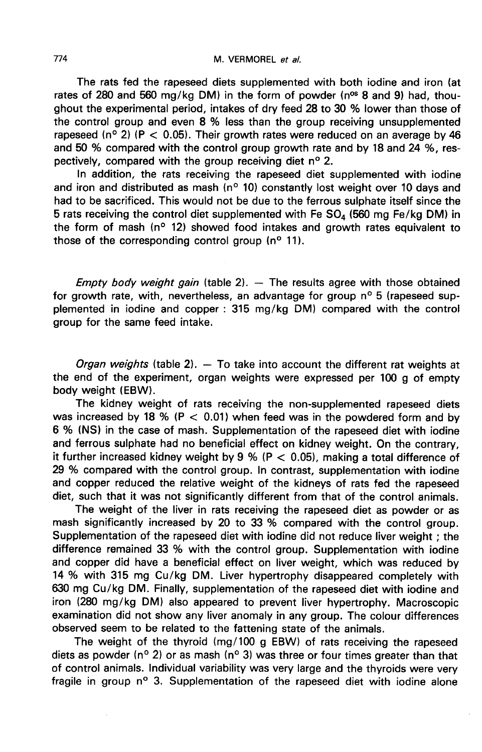The rats fed the rapeseed diets supplemented with both iodine and iron (at rates of 280 and 560 mg/kg DM) in the form of powder ( $n<sup>os</sup>$  8 and 9) had, thoughout the experimental period, intakes of dry feed 28 to 30 % lower than those of the control group and even 8 % less than the group receiving unsupplemented rapeseed ( $n^{\circ}$  2) (P < 0.05). Their growth rates were reduced on an average by 46 and 50 % compared with the control group growth rate and by 18 and 24 %, respectively, compared with the group receiving diet n° 2.

In addition, the rats receiving the rapeseed diet supplemented with iodine and iron and distributed as mash ( $n^{\circ}$  10) constantly lost weight over 10 days and had to be sacrificed. This would not be due to the ferrous sulphate itself since the 5 rats receiving the control diet supplemented with Fe  $SO<sub>4</sub>$  (560 mg Fe/kg DM) in the form of mash ( $n^{\circ}$  12) showed food intakes and growth rates equivalent to those of the corresponding control group  $(n^{\circ}, 11)$ .

*Empty body weight gain* (table 2).  $-$  The results agree with those obtained for growth rate, with, nevertheless, an advantage for group n° 5 (rapeseed supplemented in iodine and copper : 315 mg/kg DM) compared with the control group for the same feed intake.

*Organ weights* (table 2).  $-$  To take into account the different rat weights at the end of the experiment, organ weights were expressed per 100 g of empty body weight (EBW).

The kidney weight of rats receiving the non-supplemented rapeseed diets was increased by 18 % (P  $<$  0.01) when feed was in the powdered form and by 6 % (NS) in the case of mash. Supplementation of the rapeseed diet with iodine and ferrous sulphate had no beneficial effect on kidney weight. On the contrary, it further increased kidney weight by 9 % ( $P < 0.05$ ), making a total difference of 29 % compared with the control group. In contrast, supplementation with iodine and copper reduced the relative weight of the kidneys of rats fed the rapeseed diet, such that it was not significantly different from that of the control animals.

The weight of the liver in rats receiving the rapeseed diet as powder or as mash significantly increased by 20 to 33 % compared with the control group. Supplementation of the rapeseed diet with iodine did not reduce liver weight ; the difference remained 33 % with the control group. Supplementation with iodine and copper did have a beneficial effect on liver weight, which was reduced by 14 % with 315 mg Cu/kg DM. Liver hypertrophy disappeared completely with 630 mg Cu/kg DM. Finally, supplementation of the rapeseed diet with iodine and iron (280 mg/kg DM) also appeared to prevent liver hypertrophy. Macroscopic examination did not show any liver anomaly in any group. The colour differences observed seem to be related to the fattening state of the animals.

The weight of the thyroid (mg/100 g EBW) of rats receiving the rapeseed diets as powder (n° 2) or as mash (n° 3) was three or four times greater than that of control animals. Individual variability was very large and the thyroids were very fragile in group n° 3. Supplementation of the rapeseed diet with iodine alone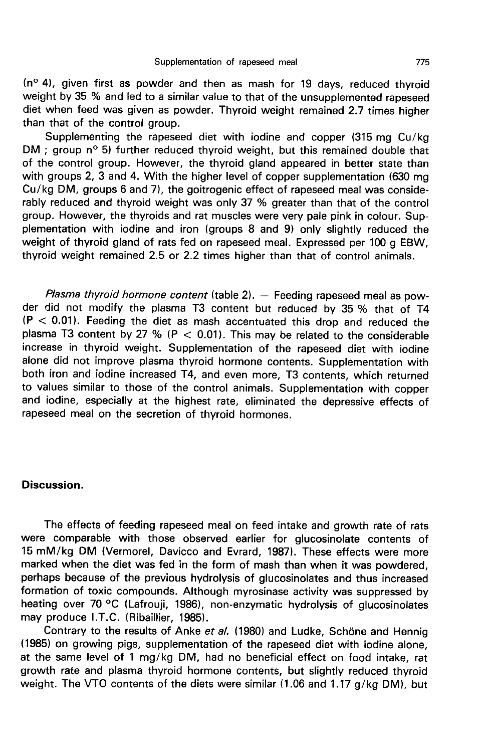(n° 4), given first as powder and then as mash for 19 days, reduced thyroid weight by 35 % and led to a similar value to that of the unsupplemented rapeseed diet when feed was given as powder. Thyroid weight remained 2.7 times higher than that of the control group.

Supplementing the rapeseed diet with iodine and copper (315 mg Cu/kg DM ; group n° 5) further reduced thyroid weight, but this remained double that of the control group. However, the thyroid gland appeared in better state than with groups 2, 3 and 4. With the higher level of copper supplementation (630 mg Cu/kg DM, groups 6 and 7), the goitrogenic effect of rapeseed meal was considerably reduced and thyroid weight was only 37 % greater than that of the control group. However, the thyroids and rat muscles were very pale pink in colour. Supplementation with iodine and iron (groups 8 and 9) only slightly reduced the weight of thyroid gland of rats fed on rapeseed meal. Expressed per 100 g EBW, thyroid weight remained 2.5 or 2.2 times higher than that of control animals.

Plasma thyroid hormone content (table  $2$ ).  $-$  Feeding rapeseed meal as powder did not modify the plasma T3 content but reduced by 35 % that of T4  $(P < 0.01)$ . Feeding the diet as mash accentuated this drop and reduced the plasma T3 content by 27 % ( $P < 0.01$ ). This may be related to the considerable increase in thyroid weight. Supplementation of the rapeseed diet with iodine alone did not improve plasma thyroid hormone contents. Supplementation with both iron and iodine increased T4, and even more, T3 contents, which returned to values similar to those of the control animals. Supplementation with copper and iodine, especially at the highest rate, eliminated the depressive effects of rapeseed meal on the secretion of thyroid hormones.

#### Discussion.

The effects of feeding rapeseed meal on feed intake and growth rate of rats were comparable with those observed earlier for glucosinolate contents of 15 mM/kg DM (Vermorel, Davicco and Evrard, 1987). These effects were more marked when the diet was fed in the form of mash than when it was powdered, perhaps because of the previous hydrolysis of glucosinolates and thus increased formation of toxic compounds. Although myrosinase activity was suppressed by heating over 70 °C (Lafrouji, 1986), non-enzymatic hydrolysis of glucosinolates may produce I.T.C. (Ribaillier, 1985).

Contrary to the results of Anke et al. (1980) and Ludke, Schöne and Hennig (1985) on growing pigs, supplementation of the rapeseed diet with iodine alone, at the same level of 1 mg/kg DM, had no beneficial effect on food intake, rat growth rate and plasma thyroid hormone contents, but slightly reduced thyroid weight. The VTO contents of the diets were similar (1.06 and 1.17 g/kg DM), but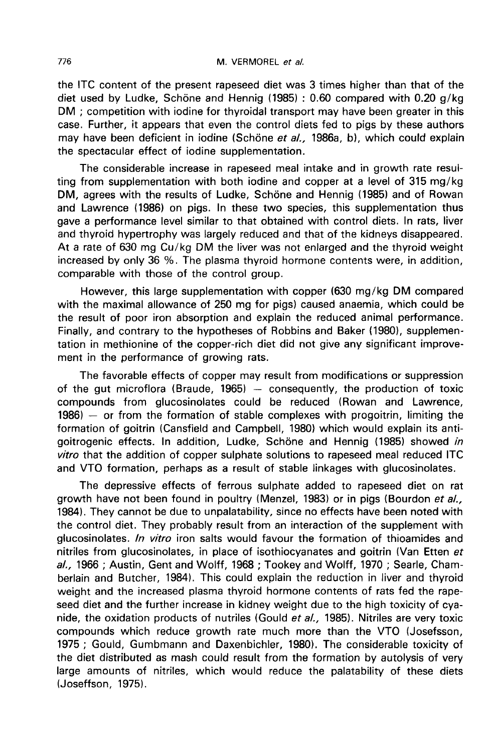the ITC content of the present rapeseed diet was 3 times higher than that of the diet used by Ludke, Schöne and Hennig (1985) : 0.60 compared with 0.20  $g/kg$ DM ; competition with iodine for thyroidal transport may have been greater in this case. Further, it appears that even the control diets fed to pigs by these authors may have been deficient in iodine (Schöne et al., 1986a, b), which could explain the spectacular effect of iodine supplementation.

The considerable increase in rapeseed meal intake and in growth rate resulting from supplementation with both iodine and copper at a level of 315 mg/kg DM, agrees with the results of Ludke, Schöne and Hennig (1985) and of Rowan and Lawrence (1986) on pigs. In these two species, this supplementation thus gave a performance level similar to that obtained with control diets. In rats, liver and thyroid hypertrophy was largely reduced and that of the kidneys disappeared. At a rate of 630 mg Cu/kg DM the liver was not enlarged and the thyroid weight increased by only 36 %. The plasma thyroid hormone contents were, in addition, comparable with those of the control group.

However, this large supplementation with copper (630 mg/kg DM compared with the maximal allowance of 250 mg for pigs) caused anaemia, which could be the result of poor iron absorption and explain the reduced animal performance. Finally, and contrary to the hypotheses of Robbins and Baker (1980), supplementation in methionine of the copper-rich diet did not give any significant improve ment in the performance of growing rats.

The favorable effects of copper may result from modifications or suppression of the gut microflora (Braude, 1965) ― consequently, the production of toxic compounds from glucosinolates could be reduced (Rowan and Lawrence, 1986) ― or from the formation of stable complexes with progoitrin, limiting the formation of goitrin (Cansfield and Campbell, 1980) which would explain its antigoitrogenic effects. In addition, Ludke, Schöne and Hennig (1985) showed in vitro that the addition of copper sulphate solutions to rapeseed meal reduced ITC and VTO formation, perhaps as a result of stable linkages with glucosinolates.

The depressive effects of ferrous sulphate added to rapeseed diet on rat growth have not been found in poultry (Menzel, 1983) or in pigs (Bourdon et al., 1984). They cannot be due to unpalatability, since no effects have been noted with the control diet. They probably result from an interaction of the supplement with glucosinolates. In vitro iron salts would favour the formation of thioamides and nitriles from glucosinolates, in place of isothiocyanates and goitrin (Van Etten et al., 1966; Austin, Gent and Wolff, 1968; Tookey and Wolff, 1970; Searle, Chamberlain and Butcher, 1984). This could explain the reduction in liver and thyroid weight and the increased plasma thyroid hormone contents of rats fed the rapeseed diet and the further increase in kidney weight due to the high toxicity of cyanide, the oxidation products of nutriles (Gould et al., 1985). Nitriles are very toxic compounds which reduce growth rate much more than the VTO (Josefsson, 1975 ; Gould, Gumbmann and Daxenbichler, 1980). The considerable toxicity of the diet distributed as mash could result from the formation by autolysis of very large amounts of nitriles, which would reduce the palatability of these diets (Joseffson, 1975).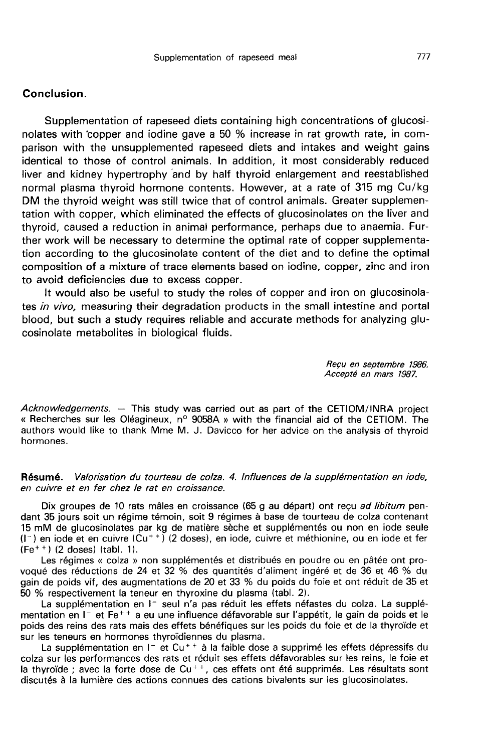## Conclusion.

Supplementation of rapeseed diets containing high concentrations of glucosinolates with 'copper and iodine gave a 50 % increase in rat growth rate, in comparison with the unsupplemented rapeseed diets and intakes and weight gains identical to those of control animals. In addition, it most considerably reduced liver and kidney hypertrophy 'and by half thyroid enlargement and reestablished normal plasma thyroid hormone contents. However, at a rate of 315 mg Cu/kg DM the thyroid weight was still twice that of control animals. Greater supplementation with copper, which eliminated the effects of glucosinolates on the liver and thyroid, caused a reduction in animal performance, perhaps due to anaemia. Further work will be necessary to determine the optimal rate of copper supplementation according to the glucosinolate content of the diet and to define the optimal composition of a mixture of trace elements based on iodine, copper, zinc and iron to avoid deficiencies due to excess copper.

It would also be useful to study the roles of copper and iron on glucosinola tes in vivo, measuring their degradation products in the small intestine and portal blood, but such a study requires reliable and accurate methods for analyzing glucosinolate metabolites in biological fluids.

> Recu en septembre 1986. Accepté en mars 1987.

Acknowledgements. — This study was carried out as part of the CETIOM/INRA project « Recherches sur les Oléagineux, n° 9058A » with the financial aid of the CETIOM. The authors would like to thank Mme M. J. Davicco for her advice on the analysis of thyroid hormones.

### Résumé. Valorisation du tourteau de colza. 4. Influences de la supplémentation en iode, en cuivre et en fer chez le rat en croissance.

Dix groupes de 10 rats mâles en croissance (65 g au départ) ont reçu ad libitum pendant 35 jours soit un régime témoin, soit 9 régimes à base de tourteau de colza contenant 15 mM de glucosinolates par kg de matière sèche et supplémentés ou non en iode seule Dix groupes de 10 rats mâles en croissance (65 g au départ) ont reçu *ad libitum* pendant 35 jours soit un régime témoin, soit 9 régimes à base de tourteau de colza contenant 15 mM de glucosinolates par kg de matière sèch (Ferman dant 35 jours soit un régir<br>15 mM de glucosinolates<br>(I<sup>-</sup>) en iode et en cuivre (I)<br>(Fe<sup>++</sup>) (2 doses) (tabl. 1).<br>Les régimes « colza »

Les régimes « colza » non supplémentés et distribués en poudre ou en pâtée ont provoqué des réductions de 24 et 32 % des quantités d'aliment ingéré et de 36 et 46 % du gain de poids vif, des augmentations de 20 et 33 % du poids du foie et ont réduit de 35 et 50 % respectivement la teneur en thyroxine du plasma (tabl. 2).

La supplémentation en l<sup>-</sup> seul n'a pas réduit les effets néfastes du colza. La supplémentation en I<sup>-</sup> et Fe<sup>++</sup> a eu une influence défavorable sur l'appétit, le gain de poids et le poids des reins des rats mais des effets bénéfiques sur les poids du foie et de la thyroïde et sur les teneurs en hormones thyroïdiennes du plasma. s des reins des rats mais des effets bénéfiques sur les poids du foie et de la thyroïde et<br>es teneurs en hormones thyroïdiennes du plasma.<br>La supplémentation en 1- et Cu<sup>++</sup> à la faible dose a supprimé les effets dépressif

colza sur les performances des rats et réduit ses effets défavorables sur les reins, le foie et<br>la thyroïde ; avec la forte dose de  $Cu^{++}$ , ces effets ont été supprimés. Les résultats sont La supplémentation en  $1^-$  et Cu<sup>++</sup> à la faible dose a supprimé les effets dépressifs du<br>colza sur les performances des rats et réduit ses effets défavorables sur les reins, le foie et<br>la thyroïde ; avec la forte dose de discutés à la lumière des actions connues des cations bivalents sur les glucosinolates.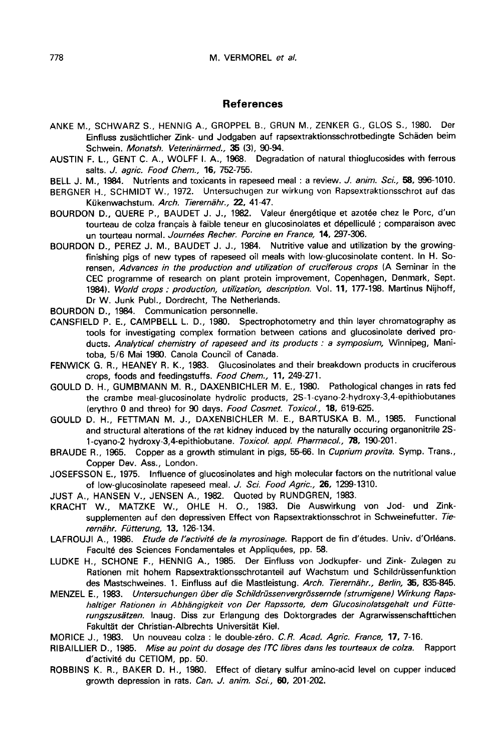#### References

ANKE M., SCHWARZ S., HENNIG A., GROPPEL B., GRUN M., ZENKER G., GLOS S., 1980. Der Einfluss zusächtlicher Zink- und Jodgaben auf rapsextraktionsschrotbedingte Schäden beim Schwein. Monatsh. Veterinärmed., 35 (3), 90-94.

- AUSTIN F. L., GENT C. A., WOLFF I. A., 1968. Degradation of natural thioglucosides with ferrous salts. J. agric. Food Chem., 16, 752-755.
- BELL J. M., 1984. Nutrients and toxicants in rapeseed meal : a review. J. anim. Sci., 58, 996-1010.
- BERGNER H., SCHMIDT W., 1972. Untersuchugen zur wirkung von Rapsextraktionsschrot auf das Kükenwachstum. Arch. Tierernähr., 22, 41-47.
- BOURDON D., QUERE P., BAUDET J. J., 1982. Valeur énergétique et azotée chez le Porc, d'un tourteau de colza francais à faible teneur en glucosinolates et dépelliculé ; comparaison avec un tourteau normal. Journées Recher. Porcine en France, 14, 297-306.
- BOURDON D., PEREZ J. M., BAUDET J. J., 1984. Nutritive value and utilization by the growingfinishing pigs of new types of rapeseed oil meals with low-glucosinolate content. In H. Sorensen, Advances in the production and utilization of cruciferous crops (A Seminar in the CEC programme of research on plant protein improvement, Copenhagen, Denmark, Sept. 1984). World crops : production, utilization, description. Vol. 11, 177-198. Martinus Nijhoff, Dr W. Junk Publ., Dordrecht, The Netherlands.
- BOURDON D., 1984. Communication personnelle.
- CANSFIELD P. E., CAMPBELL L. D., 1980. Spectrophotometry and thin layer chromatography as tools for investigating complex formation between cations and glucosinolate derived products. Analytical chemistry of rapeseed and its products : a symposium, Winnipeg, Manitoba, 5/6 Mai 1980. Canola Council of Canada.
- FENWICK G. R., HEANEY R. K., 1983. Glucosinolates and their breakdown products in cruciferous crops, foods and feedingstuffs. Food Chem., 11, 249-271.
- GOULD D. H., GUMBMANN M. R., DAXENBICHLER M. E., 1980. Pathological changes in rats fed the crambe meal-glucosinolate hydrolic products, 2S-1-cyano-2-hydroxy-3,4-epithiobutanes (erythro 0 and threo) for 90 days. Food Cosmet. Toxicol., 18, 619-625.
- GOULD D. H., FETTMAN M. J., DAXENBICHLER M. E., BARTUSKA B. M., 1985. Functional and structural alterations of the rat kidney induced by the naturally occuring organonitrile 2S-1-cyano-2 hydroxy-3,4-epithiobutane. Toxicol. appl. Pharmacol., 78, 190-201.
- BRAUDE R., 1965. Copper as a growth stimulant in pigs, 55-66. In *Cuprium provita*. Symp. Trans., Copper Dev. Ass., London.
- JOSEFSSON E., 1975. Influence of glucosinolates and high molecular factors on the nutritional value of low-glucosinolate rapeseed meal. J. Sci. Food Agric., 26, 1299-1310.
- JUST A., HANSEN V., JENSEN A., 1982. Quoted by RUNDGREN, 1983.
- KRACHT W., MATZKE W., OHLE H. 0., 1983. Die Auswirkung von Jod- und Zinksupplementen auf den depressiven Effect von Rapsextraktionsschrot in Schweinefutter. Tierernähr. Fütterung, 13, 126-134.
- LAFROUJI A., 1986. Etude de l'activité de la myrosinage. Rapport de fin d'études. Univ. d'Orléans. Faculté des Sciences Fondamentales et Appliquées, pp. 58.
- LUDKE H., SCHONE F., HENNIG A., 1985. Der Einfluss von Jodkupfer- und Zink- Zulagen zu Rationen mit hohem Rapsextraktionsschrotanteil auf Wachstum und Schiidrussenfunktion des Mastschweines. 1. Einfluss auf die Mastleistung. Arch. Tierernähr., Berlin, 35, 835-845.
- MENZEL E., 1983. Untersuchungen über die Schildrüssenvergrössernde (strumigene) Wirkung Rapshaltiger Rationen in Abhangigkeit von Der Rapssorte, dem Glucosinolatsgehalt und Fijtterungszusätzen. Inaug. Diss zur Erlangung des Doktorgrades der Agrarwissenschafttichen Fakultät der Christian-Albrechts Universität Kiel.

MORICE J., 1983. Un nouveau colza : le double-zéro. C.R. Acad. Agric. France, 17, 7-16.

- RIBAILLIER D., 1985. Mise au point du dosage des lTC libres dans les tourteaux de colza. Rapport d'activité du CETIOM, pp. 50.
- ROBBINS K. R., BAKER D. H., 1980. Effect of dietary sulfur amino-acid level on cupper induced growth depression in rats. Can. J. anim. Sci., 60, 201-202.